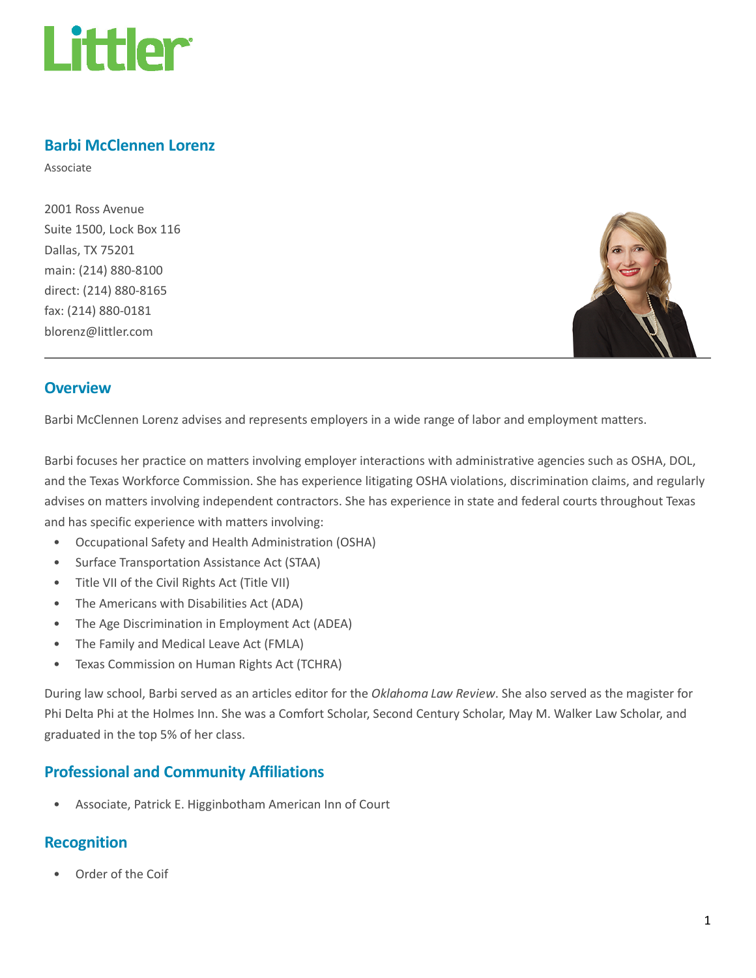

#### Barbi McClennen Lorenz

Associate

2001 Ross Avenue Suite 1500, Lock Box 116 Dallas, TX 75201 main: (214) 880-8100 direct: (214) 880-8165 fax: (214) 880-0181 blorenz@littler.com



#### **Overview**

Barbi McClennen Lorenz advises and represents employers in a wide range of labor and employment matters.

Barbi focuses her practice on matters involving employer interactions with administrative agencies such as OSHA, DOL, and the Texas Workforce Commission. She has experience litigating OSHA violations, discrimination claims, and regularly advises on matters involving independent contractors. She has experience in state and federal courts throughout Texas and has specific experience with matters involving:

- Occupational Safety and Health Administration (OSHA)
- Surface Transportation Assistance Act (STAA)
- Title VII of the Civil Rights Act (Title VII)
- The Americans with Disabilities Act (ADA)
- The Age Discrimination in Employment Act (ADEA)
- The Family and Medical Leave Act (FMLA)
- Texas Commission on Human Rights Act (TCHRA)

During law school, Barbi served as an articles editor for the Oklahoma Law Review. She also served as the magister for Phi Delta Phi at the Holmes Inn. She was a Comfort Scholar, Second Century Scholar, May M. Walker Law Scholar, and graduated in the top 5% of her class.

## Professional and Community Affiliations

• Associate, Patrick E. Higginbotham American Inn of Court

## Recognition

• Order of the Coif